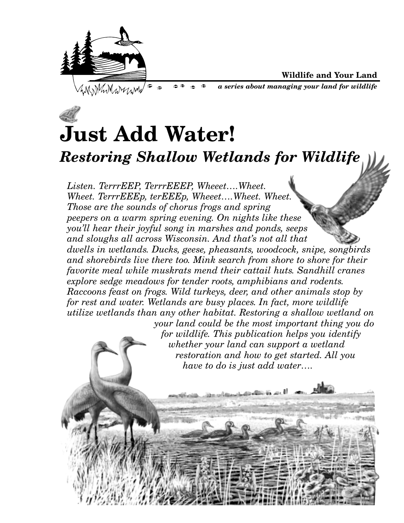

**Wildlife and Your Land**

*a series about managing your land for wildlife*

# **Just Add Water!** *Restoring Shallow Wetlands for Wildlife*

 $\approx$ 

*Listen. TerrrEEP, TerrrEEEP, Wheeet….Wheet. Wheet. TerrrEEEp, terEEEp, Wheeet….Wheet. Wheet. Those are the sounds of chorus frogs and spring peepers on a warm spring evening. On nights like these you'll hear their joyful song in marshes and ponds, seeps and sloughs all across Wisconsin. And that's not all that dwells in wetlands. Ducks, geese, pheasants, woodcock, snipe, songbirds and shorebirds live there too. Mink search from shore to shore for their favorite meal while muskrats mend their cattail huts. Sandhill cranes explore sedge meadows for tender roots, amphibians and rodents. Raccoons feast on frogs. Wild turkeys, deer, and other animals stop by for rest and water. Wetlands are busy places. In fact, more wildlife utilize wetlands than any other habitat. Restoring a shallow wetland on your land could be the most important thing you do for wildlife. This publication helps you identify whether your land can support a wetland restoration and how to get started. All you have to do is just add water….* المختلفانه استنا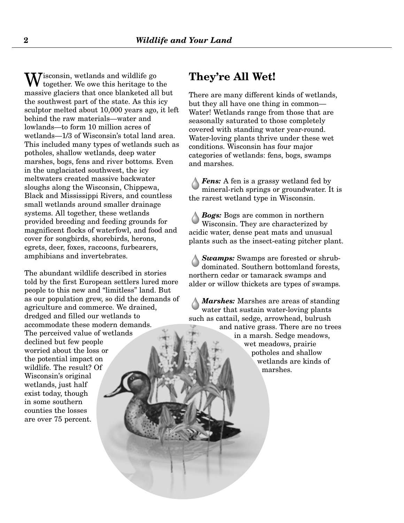$T$ isconsin, wetlands and wildlife go together. We owe this heritage to the massive glaciers that once blanketed all but the southwest part of the state. As this icy sculptor melted about 10,000 years ago, it left behind the raw materials—water and lowlands—to form 10 million acres of wetlands—1/3 of Wisconsin's total land area. This included many types of wetlands such as potholes, shallow wetlands, deep water marshes, bogs, fens and river bottoms. Even in the unglaciated southwest, the icy meltwaters created massive backwater sloughs along the Wisconsin, Chippewa, Black and Mississippi Rivers, and countless small wetlands around smaller drainage systems. All together, these wetlands provided breeding and feeding grounds for magnificent flocks of waterfowl, and food and cover for songbirds, shorebirds, herons, egrets, deer, foxes, raccoons, furbearers, amphibians and invertebrates.

The abundant wildlife described in stories told by the first European settlers lured more people to this new and "limitless" land. But as our population grew, so did the demands of agriculture and commerce. We drained, dredged and filled our wetlands to accommodate these modern demands. The perceived value of wetlands declined but few people worried about the loss or the potential impact on wildlife. The result? Of Wisconsin's original wetlands, just half exist today, though in some southern counties the losses are over 75 percent.

#### **They're All Wet!**

There are many different kinds of wetlands, but they all have one thing in common— Water! Wetlands range from those that are seasonally saturated to those completely covered with standing water year-round. Water-loving plants thrive under these wet conditions. Wisconsin has four major categories of wetlands: fens, bogs, swamps and marshes.

*Fens:* A fen is a grassy wetland fed by mineral-rich springs or groundwater. It is the rarest wetland type in Wisconsin.

*Bogs:* Bogs are common in northern Wisconsin. They are characterized by acidic water, dense peat mats and unusual plants such as the insect-eating pitcher plant.

*Swamps:* Swamps are forested or shrubdominated. Southern bottomland forests, northern cedar or tamarack swamps and alder or willow thickets are types of swamps.

*Marshes:* Marshes are areas of standing water that sustain water-loving plants such as cattail, sedge, arrowhead, bulrush and native grass. There are no trees in a marsh. Sedge meadows, wet meadows, prairie potholes and shallow wetlands are kinds of marshes.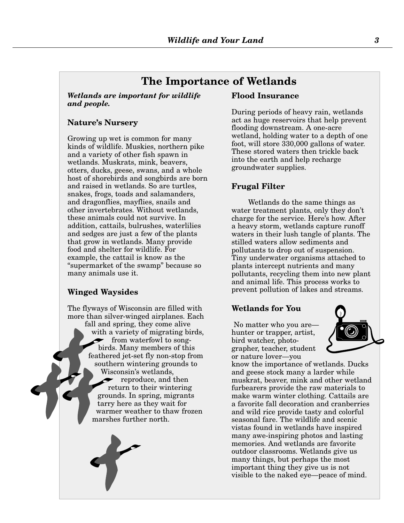#### **The Importance of Wetlands**

*Wetlands are important for wildlife and people.* 

#### **Nature's Nursery**

Growing up wet is common for many kinds of wildlife. Muskies, northern pike and a variety of other fish spawn in wetlands. Muskrats, mink, beavers, otters, ducks, geese, swans, and a whole host of shorebirds and songbirds are born and raised in wetlands. So are turtles, snakes, frogs, toads and salamanders, and dragonflies, mayflies, snails and other invertebrates. Without wetlands, these animals could not survive. In addition, cattails, bulrushes, waterlilies and sedges are just a few of the plants that grow in wetlands. Many provide food and shelter for wildlife. For example, the cattail is know as the "supermarket of the swamp" because so many animals use it.

#### **Winged Waysides**

The flyways of Wisconsin are filled with more than silver-winged airplanes. Each fall and spring, they come alive with a variety of migrating birds, from waterfowl to songbirds. Many members of this feathered jet-set fly non-stop from southern wintering grounds to Wisconsin's wetlands, reproduce, and then return to their wintering grounds. In spring, migrants tarry here as they wait for warmer weather to thaw frozen marshes further north.

#### **Flood Insurance**

During periods of heavy rain, wetlands act as huge reservoirs that help prevent flooding downstream. A one-acre wetland, holding water to a depth of one foot, will store 330,000 gallons of water. These stored waters then trickle back into the earth and help recharge groundwater supplies.

#### **Frugal Filter**

Wetlands do the same things as water treatment plants, only they don't charge for the service. Here's how. After a heavy storm, wetlands capture runoff waters in their lush tangle of plants. The stilled waters allow sediments and pollutants to drop out of suspension. Tiny underwater organisms attached to plants intercept nutrients and many pollutants, recycling them into new plant and animal life. This process works to prevent pollution of lakes and streams.

#### **Wetlands for You**

No matter who you are hunter or trapper, artist, bird watcher, photographer, teacher, student or nature lover—you



know the importance of wetlands. Ducks and geese stock many a larder while muskrat, beaver, mink and other wetland furbearers provide the raw materials to make warm winter clothing. Cattails are a favorite fall decoration and cranberries and wild rice provide tasty and colorful seasonal fare. The wildlife and scenic vistas found in wetlands have inspired many awe-inspiring photos and lasting memories. And wetlands are favorite outdoor classrooms. Wetlands give us many things, but perhaps the most important thing they give us is not visible to the naked eye—peace of mind.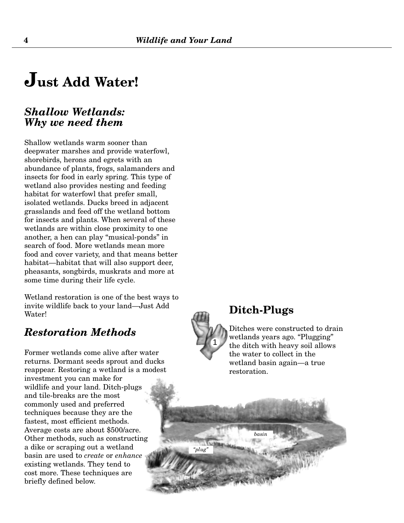# **Just Add Water!**

#### *Shallow Wetlands: Why we need them*

Shallow wetlands warm sooner than deepwater marshes and provide waterfowl, shorebirds, herons and egrets with an abundance of plants, frogs, salamanders and insects for food in early spring. This type of wetland also provides nesting and feeding habitat for waterfowl that prefer small, isolated wetlands. Ducks breed in adjacent grasslands and feed off the wetland bottom for insects and plants. When several of these wetlands are within close proximity to one another, a hen can play "musical-ponds" in search of food. More wetlands mean more food and cover variety, and that means better habitat—habitat that will also support deer, pheasants, songbirds, muskrats and more at some time during their life cycle.

Wetland restoration is one of the best ways to invite wildlife back to your land—Just Add Water!

#### *Restoration Methods*

Former wetlands come alive after water returns. Dormant seeds sprout and ducks reappear. Restoring a wetland is a modest investment you can make for wildlife and your land. Ditch-plugs and tile-breaks are the most commonly used and preferred techniques because they are the fastest, most efficient methods. Average costs are about \$500/acre. Other methods, such as constructing a dike or scraping out a wetland basin are used to *create* or *enhance* existing wetlands. They tend to cost more. These techniques are briefly defined below.



#### **Ditch-Plugs**

Ditches were constructed to drain wetlands years ago. "Plugging" the ditch with heavy soil allows the water to collect in the wetland basin again—a true restoration.

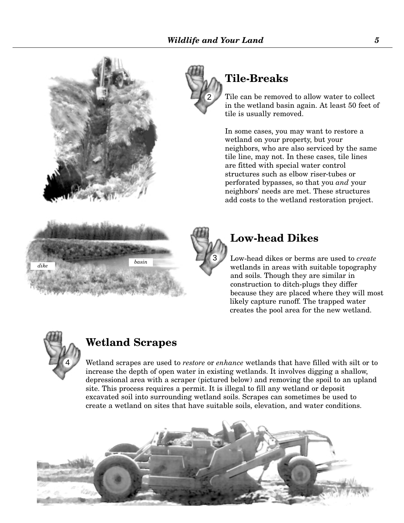



# **Tile-Breaks**

Tile can be removed to allow water to collect in the wetland basin again. At least 50 feet of tile is usually removed.

In some cases, you may want to restore a wetland on your property, but your neighbors, who are also serviced by the same tile line, may not. In these cases, tile lines are fitted with special water control structures such as elbow riser-tubes or perforated bypasses, so that you *and* your neighbors' needs are met. These structures add costs to the wetland restoration project.





#### **Low-head Dikes**

Low-head dikes or berms are used to *create* wetlands in areas with suitable topography and soils. Though they are similar in construction to ditch-plugs they differ because they are placed where they will most likely capture runoff. The trapped water creates the pool area for the new wetland.



# **Wetland Scrapes**

Wetland scrapes are used to *restore* or *enhance* wetlands that have filled with silt or to increase the depth of open water in existing wetlands. It involves digging a shallow, depressional area with a scraper (pictured below) and removing the spoil to an upland site. This process requires a permit. It is illegal to fill any wetland or deposit excavated soil into surrounding wetland soils. Scrapes can sometimes be used to create a wetland on sites that have suitable soils, elevation, and water conditions.

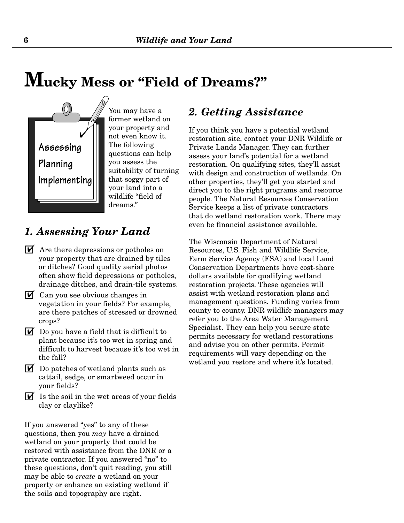# **Mucky Mess or "Field of Dreams?"**



You may have a former wetland on your property and not even know it. The following questions can help you assess the suitability of turning that soggy part of your land into a wildlife "field of dreams."

### *1. Assessing Your Land*

- $\mathbf{\nabla}$  Are there depressions or potholes on your property that are drained by tiles or ditches? Good quality aerial photos often show field depressions or potholes, drainage ditches, and drain-tile systems.
- $\mathbf{\nabla}$  Can you see obvious changes in vegetation in your fields? For example, are there patches of stressed or drowned crops?
- $\blacksquare$  Do you have a field that is difficult to plant because it's too wet in spring and difficult to harvest because it's too wet in the fall?
- $\blacksquare$  Do patches of wetland plants such as cattail, sedge, or smartweed occur in your fields?
- $\triangledown$  Is the soil in the wet areas of your fields clay or claylike?

If you answered "yes" to any of these questions, then you *may* have a drained wetland on your property that could be restored with assistance from the DNR or a private contractor. If you answered "no" to these questions, don't quit reading, you still may be able to *create* a wetland on your property or enhance an existing wetland if the soils and topography are right.

#### *2. Getting Assistance*

If you think you have a potential wetland restoration site, contact your DNR Wildlife or Private Lands Manager. They can further assess your land's potential for a wetland restoration. On qualifying sites, they'll assist with design and construction of wetlands. On other properties, they'll get you started and direct you to the right programs and resource people. The Natural Resources Conservation Service keeps a list of private contractors that do wetland restoration work. There may even be financial assistance available.

The Wisconsin Department of Natural Resources, U.S. Fish and Wildlife Service, Farm Service Agency (FSA) and local Land Conservation Departments have cost-share dollars available for qualifying wetland restoration projects. These agencies will assist with wetland restoration plans and management questions. Funding varies from county to county. DNR wildlife managers may refer you to the Area Water Management Specialist. They can help you secure state permits necessary for wetland restorations and advise you on other permits. Permit requirements will vary depending on the wetland you restore and where it's located.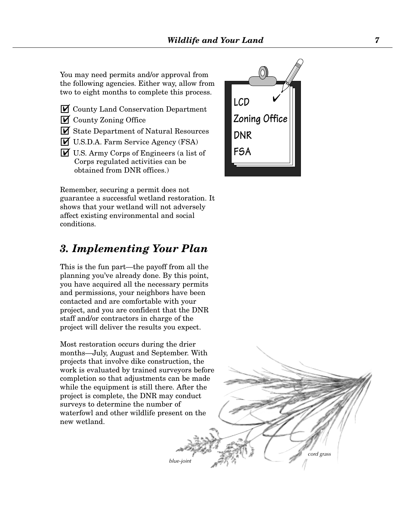You may need permits and/or approval from the following agencies. Either way, allow from two to eight months to complete this process.

- **M** County Land Conservation Department
- $\triangledown$  County Zoning Office
- GY State Department of Natural Resources
- GY U.S.D.A. Farm Service Agency (FSA)
- GY U.S. Army Corps of Engineers (a list of Corps regulated activities can be obtained from DNR offices.)

Remember, securing a permit does not guarantee a successful wetland restoration. It shows that your wetland will not adversely affect existing environmental and social conditions.

#### *3. Implementing Your Plan*

This is the fun part—the payoff from all the planning you've already done. By this point, you have acquired all the necessary permits and permissions, your neighbors have been contacted and are comfortable with your project, and you are confident that the DNR staff and/or contractors in charge of the project will deliver the results you expect.

Most restoration occurs during the drier months—July, August and September. With projects that involve dike construction, the work is evaluated by trained surveyors before completion so that adjustments can be made while the equipment is still there. After the project is complete, the DNR may conduct surveys to determine the number of waterfowl and other wildlife present on the new wetland.



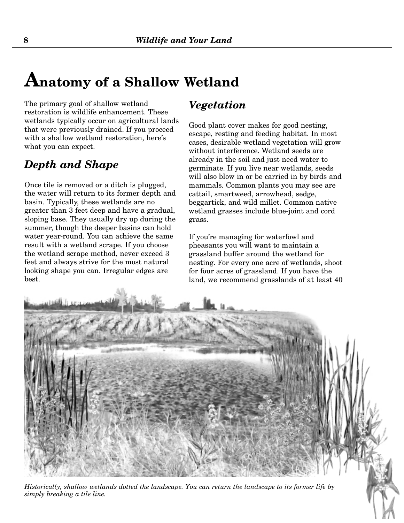# **Anatomy of a Shallow Wetland**

The primary goal of shallow wetland restoration is wildlife enhancement. These wetlands typically occur on agricultural lands that were previously drained. If you proceed with a shallow wetland restoration, here's what you can expect.

## *Depth and Shape*

Once tile is removed or a ditch is plugged, the water will return to its former depth and basin. Typically, these wetlands are no greater than 3 feet deep and have a gradual, sloping base. They usually dry up during the summer, though the deeper basins can hold water year-round. You can achieve the same result with a wetland scrape. If you choose the wetland scrape method, never exceed 3 feet and always strive for the most natural looking shape you can. Irregular edges are best.

#### *Vegetation*

Good plant cover makes for good nesting, escape, resting and feeding habitat. In most cases, desirable wetland vegetation will grow without interference. Wetland seeds are already in the soil and just need water to germinate. If you live near wetlands, seeds will also blow in or be carried in by birds and mammals. Common plants you may see are cattail, smartweed, arrowhead, sedge, beggartick, and wild millet. Common native wetland grasses include blue-joint and cord grass.

If you're managing for waterfowl and pheasants you will want to maintain a grassland buffer around the wetland for nesting. For every one acre of wetlands, shoot for four acres of grassland. If you have the land, we recommend grasslands of at least 40

*Historically, shallow wetlands dotted the landscape. You can return the landscape to its former life by simply breaking a tile line.*

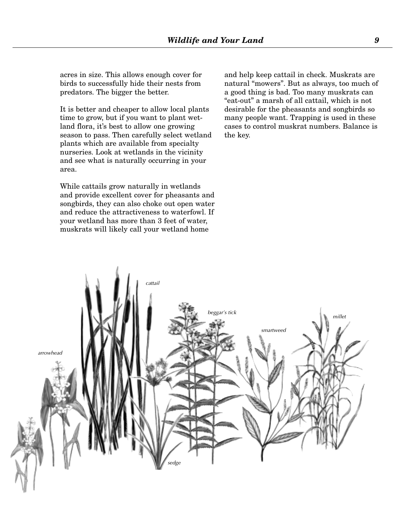acres in size. This allows enough cover for birds to successfully hide their nests from predators. The bigger the better.

It is better and cheaper to allow local plants time to grow, but if you want to plant wetland flora, it's best to allow one growing season to pass. Then carefully select wetland plants which are available from specialty nurseries. Look at wetlands in the vicinity and see what is naturally occurring in your area.

While cattails grow naturally in wetlands and provide excellent cover for pheasants and songbirds, they can also choke out open water and reduce the attractiveness to waterfowl. If your wetland has more than 3 feet of water, muskrats will likely call your wetland home

and help keep cattail in check. Muskrats are natural "mowers". But as always, too much of a good thing is bad. Too many muskrats can "eat-out" a marsh of all cattail, which is not desirable for the pheasants and songbirds so many people want. Trapping is used in these cases to control muskrat numbers. Balance is the key.

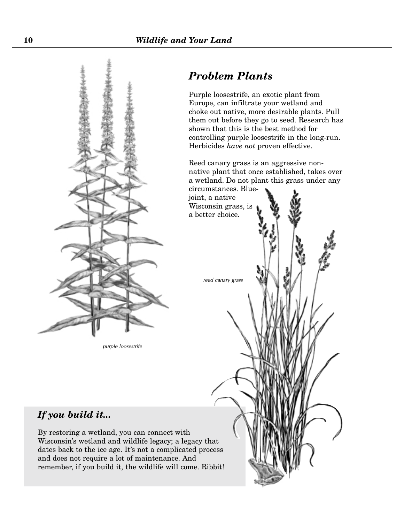

*purple loosestrife*

### *Problem Plants*

Purple loosestrife, an exotic plant from Europe, can infiltrate your wetland and choke out native, more desirable plants. Pull them out before they go to seed. Research has shown that this is the best method for controlling purple loosestrife in the long-run. Herbicides *have not* proven effective.

Reed canary grass is an aggressive nonnative plant that once established, takes over a wetland. Do not plant this grass under any circumstances. Blue-

*reed canary grass*

joint, a native Wisconsin grass, is a better choice.

#### *If you build it...*

By restoring a wetland, you can connect with Wisconsin's wetland and wildlife legacy; a legacy that dates back to the ice age. It's not a complicated process and does not require a lot of maintenance. And remember, if you build it, the wildlife will come. Ribbit!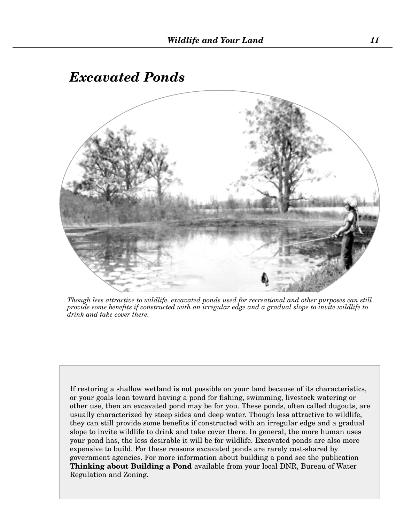# *Excavated Ponds*



*Though less attractive to wildlife, excavated ponds used for recreational and other purposes can still provide some benefits if constructed with an irregular edge and a gradual slope to invite wildlife to drink and take cover there.*

If restoring a shallow wetland is not possible on your land because of its characteristics, or your goals lean toward having a pond for fishing, swimming, livestock watering or other use, then an excavated pond may be for you. These ponds, often called dugouts, are usually characterized by steep sides and deep water. Though less attractive to wildlife, they can still provide some benefits if constructed with an irregular edge and a gradual slope to invite wildlife to drink and take cover there. In general, the more human uses your pond has, the less desirable it will be for wildlife. Excavated ponds are also more expensive to build. For these reasons excavated ponds are rarely cost-shared by government agencies. For more information about building a pond see the publication **Thinking about Building a Pond** available from your local DNR, Bureau of Water Regulation and Zoning.